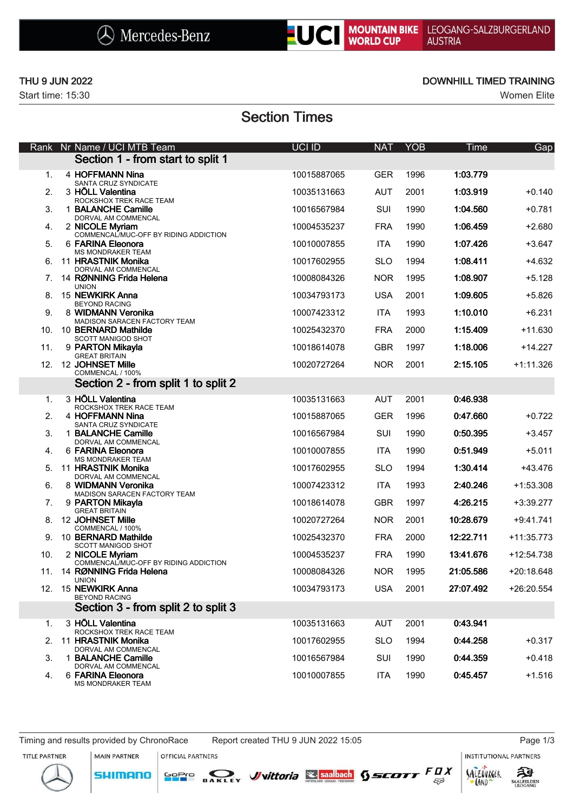



Start time: 15:30 Women Elite

### THU 9 JUN 2022 **DOWNHILL TIMED TRAINING**

# Section Times

| Rank | Nr Name / UCI MTB Team                                           | UCI ID      | <b>NAT</b> | <b>YOB</b> | Time      | Gap          |
|------|------------------------------------------------------------------|-------------|------------|------------|-----------|--------------|
|      | Section 1 - from start to split 1                                |             |            |            |           |              |
| 1.   | 4 HOFFMANN Nina<br>SANTA CRUZ SYNDICATE                          | 10015887065 | <b>GER</b> | 1996       | 1:03.779  |              |
| 2.   | 3 HÖLL Valentina<br>ROCKSHOX TREK RACE TEAM                      | 10035131663 | <b>AUT</b> | 2001       | 1:03.919  | $+0.140$     |
| 3.   | 1 BALANCHE Camille                                               | 10016567984 | <b>SUI</b> | 1990       | 1:04.560  | $+0.781$     |
| 4.   | DORVAL AM COMMENCAL<br>2 NICOLE Myriam                           | 10004535237 | <b>FRA</b> | 1990       | 1:06.459  | $+2.680$     |
| 5.   | COMMENCAL/MUC-OFF BY RIDING ADDICTION<br>6 FARINA Eleonora       | 10010007855 | <b>ITA</b> | 1990       | 1:07.426  | $+3.647$     |
| 6.   | MS MONDRAKER TEAM<br>11 HRASTNIK Monika                          | 10017602955 | <b>SLO</b> | 1994       | 1:08.411  | $+4.632$     |
| 7.   | DORVAL AM COMMENCAL<br>14 RØNNING Frida Helena                   | 10008084326 | <b>NOR</b> | 1995       | 1:08.907  | $+5.128$     |
| 8.   | <b>UNION</b><br>15 NEWKIRK Anna                                  | 10034793173 | <b>USA</b> | 2001       | 1:09.605  | $+5.826$     |
| 9.   | <b>BEYOND RACING</b><br>8 WIDMANN Veronika                       | 10007423312 | <b>ITA</b> | 1993       | 1:10.010  | $+6.231$     |
| 10.  | MADISON SARACEN FACTORY TEAM<br>10 BERNARD Mathilde              | 10025432370 | <b>FRA</b> | 2000       | 1:15.409  | $+11.630$    |
| 11.  | SCOTT MANIGOD SHOT<br>9 PARTON Mikayla<br><b>GREAT BRITAIN</b>   | 10018614078 | <b>GBR</b> | 1997       | 1:18.006  | $+14.227$    |
| 12.  | 12 JOHNSET Mille<br>COMMENCAL / 100%                             | 10020727264 | <b>NOR</b> | 2001       | 2:15.105  | $+1:11.326$  |
|      | Section 2 - from split 1 to split 2                              |             |            |            |           |              |
| 1.   | 3 HÖLL Valentina                                                 | 10035131663 | <b>AUT</b> | 2001       | 0:46.938  |              |
| 2.   | ROCKSHOX TREK RACE TEAM<br>4 HOFFMANN Nina                       | 10015887065 | <b>GER</b> | 1996       | 0:47.660  | $+0.722$     |
| 3.   | SANTA CRUZ SYNDICATE<br>1 BALANCHE Camille                       | 10016567984 | SUI        | 1990       | 0:50.395  | $+3.457$     |
| 4.   | DORVAL AM COMMENCAL<br>6 FARINA Eleonora                         | 10010007855 | <b>ITA</b> | 1990       | 0:51.949  | $+5.011$     |
| 5.   | <b>MS MONDRAKER TEAM</b><br>11 HRASTNIK Monika                   | 10017602955 | <b>SLO</b> | 1994       | 1:30.414  | +43.476      |
| 6.   | DORVAL AM COMMENCAL<br>8 WIDMANN Veronika                        | 10007423312 | <b>ITA</b> | 1993       | 2:40.246  | $+1:53.308$  |
| 7.   | MADISON SARACEN FACTORY TEAM<br>9 PARTON Mikayla                 | 10018614078 | <b>GBR</b> | 1997       | 4:26.215  | $+3:39.277$  |
|      | <b>GREAT BRITAIN</b><br>8. 12 JOHNSET Mille                      | 10020727264 | <b>NOR</b> | 2001       | 10:28.679 | $+9:41.741$  |
| 9.   | COMMENCAL / 100%<br>10 BERNARD Mathilde                          | 10025432370 | <b>FRA</b> | 2000       | 12:22.711 | +11:35.773   |
| 10.  | <b>SCOTT MANIGOD SHOT</b><br>2 NICOLE Myriam                     | 10004535237 | <b>FRA</b> | 1990       | 13:41.676 | $+12:54.738$ |
| 11.  | COMMENCAL/MUC-OFF BY RIDING ADDICTION<br>14 RØNNING Frida Helena | 10008084326 | <b>NOR</b> | 1995       | 21:05.586 | +20:18.648   |
| 12.  | <b>UNION</b><br>15 NEWKIRK Anna                                  | 10034793173 | <b>USA</b> | 2001       | 27:07.492 | +26:20.554   |
|      | <b>BEYOND RACING</b><br>Section 3 - from split 2 to split 3      |             |            |            |           |              |
| 1.   | 3 HÖLL Valentina                                                 | 10035131663 | <b>AUT</b> | 2001       | 0:43.941  |              |
| 2.   | ROCKSHOX TREK RACE TEAM<br>11 HRASTNIK Monika                    | 10017602955 | <b>SLO</b> | 1994       | 0:44.258  | $+0.317$     |
| 3.   | DORVAL AM COMMENCAL<br>1 BALANCHE Camille                        | 10016567984 | SUI        | 1990       | 0:44.359  | $+0.418$     |
| 4.   | DORVAL AM COMMENCAL<br>6 FARINA Eleonora<br>MS MONDRAKER TEAM    | 10010007855 | <b>ITA</b> | 1990       | 0:45.457  | $+1.516$     |

Timing and results provided by ChronoRace Report created THU 9 JUN 2022 15:05 Page 1/3

MAIN PARTNER

**SHIMANO** 

OFFICIAL PARTNERS

**INSTITUTIONAL PARTNERS** 





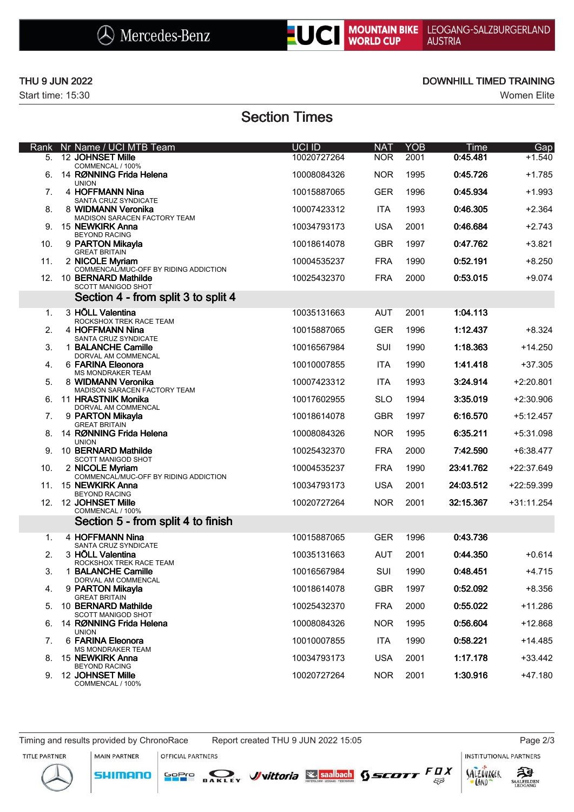



Start time: 15:30 Women Elite

### THU 9 JUN 2022 **DOWNHILL TIMED TRAINING**

# Section Times

| Rank | Nr Name / UCI MTB Team                                       | <b>UCI ID</b> | <b>NAT</b> | <b>YOB</b> | Time      | Gap         |
|------|--------------------------------------------------------------|---------------|------------|------------|-----------|-------------|
| 5.   | 12 JOHNSET Mille<br>COMMENCAL / 100%                         | 10020727264   | <b>NOR</b> | 2001       | 0:45.481  | $+1.540$    |
| 6.   | 14 RØNNING Frida Helena<br><b>UNION</b>                      | 10008084326   | <b>NOR</b> | 1995       | 0:45.726  | $+1.785$    |
| 7.   | 4 HOFFMANN Nina<br>SANTA CRUZ SYNDICATE                      | 10015887065   | <b>GER</b> | 1996       | 0:45.934  | $+1.993$    |
| 8.   | 8 WIDMANN Veronika                                           | 10007423312   | <b>ITA</b> | 1993       | 0:46.305  | $+2.364$    |
| 9.   | MADISON SARACEN FACTORY TEAM<br>15 NEWKIRK Anna              | 10034793173   | <b>USA</b> | 2001       | 0:46.684  | $+2.743$    |
| 10.  | <b>BEYOND RACING</b><br>9 PARTON Mikayla                     | 10018614078   | <b>GBR</b> | 1997       | 0:47.762  | $+3.821$    |
| 11.  | <b>GREAT BRITAIN</b><br>2 NICOLE Myriam                      | 10004535237   | <b>FRA</b> | 1990       | 0:52.191  | $+8.250$    |
| 12.  | COMMENCAL/MUC-OFF BY RIDING ADDICTION<br>10 BERNARD Mathilde | 10025432370   | <b>FRA</b> | 2000       | 0:53.015  | $+9.074$    |
|      | <b>SCOTT MANIGOD SHOT</b>                                    |               |            |            |           |             |
|      | Section 4 - from split 3 to split 4                          |               |            |            |           |             |
| 1.   | 3 HÖLL Valentina<br>ROCKSHOX TREK RACE TEAM                  | 10035131663   | <b>AUT</b> | 2001       | 1:04.113  |             |
| 2.   | 4 HOFFMANN Nina<br>SANTA CRUZ SYNDICATE                      | 10015887065   | <b>GER</b> | 1996       | 1:12.437  | $+8.324$    |
| 3.   | 1 BALANCHE Camille<br>DORVAL AM COMMENCAL                    | 10016567984   | SUI        | 1990       | 1:18.363  | $+14.250$   |
| 4.   | 6 FARINA Eleonora<br><b>MS MONDRAKER TEAM</b>                | 10010007855   | <b>ITA</b> | 1990       | 1:41.418  | $+37.305$   |
| 5.   | 8 WIDMANN Veronika                                           | 10007423312   | <b>ITA</b> | 1993       | 3:24.914  | $+2:20.801$ |
| 6.   | MADISON SARACEN FACTORY TEAM<br>11 HRASTNIK Monika           | 10017602955   | <b>SLO</b> | 1994       | 3:35.019  | $+2:30.906$ |
| 7.   | DORVAL AM COMMENCAL<br>9 PARTON Mikayla                      | 10018614078   | <b>GBR</b> | 1997       | 6:16.570  | $+5:12.457$ |
| 8.   | <b>GREAT BRITAIN</b><br>14 RØNNING Frida Helena              | 10008084326   | <b>NOR</b> | 1995       | 6:35.211  | +5:31.098   |
| 9.   | <b>UNION</b><br>10 BERNARD Mathilde                          | 10025432370   | <b>FRA</b> | 2000       | 7:42.590  | +6:38.477   |
| 10.  | <b>SCOTT MANIGOD SHOT</b><br>2 NICOLE Myriam                 | 10004535237   | <b>FRA</b> | 1990       | 23:41.762 | +22:37.649  |
| 11.  | COMMENCAL/MUC-OFF BY RIDING ADDICTION<br>15 NEWKIRK Anna     | 10034793173   | <b>USA</b> | 2001       | 24:03.512 | +22:59.399  |
| 12.  | <b>BEYOND RACING</b><br>12 JOHNSET Mille                     | 10020727264   | <b>NOR</b> | 2001       | 32:15.367 | +31:11.254  |
|      | COMMENCAL / 100%<br>Section 5 - from split 4 to finish       |               |            |            |           |             |
| 1.   | 4 HOFFMANN Nina                                              | 10015887065   | <b>GER</b> | 1996       | 0:43.736  |             |
| 2.   | SANTA CRUZ SYNDICATE<br>3 HÖLL Valentina                     | 10035131663   | <b>AUT</b> | 2001       | 0:44.350  | $+0.614$    |
| 3.   | ROCKSHOX TREK RACE TEAM<br>1 BALANCHE Camille                | 10016567984   | SUI        | 1990       | 0:48.451  | $+4.715$    |
| 4.   | DORVAL AM COMMENCAL<br>9 PARTON Mikayla                      | 10018614078   | <b>GBR</b> | 1997       | 0:52.092  | +8.356      |
| 5.   | <b>GREAT BRITAIN</b><br>10 BERNARD Mathilde                  | 10025432370   | <b>FRA</b> | 2000       | 0:55.022  | $+11.286$   |
|      | SCOTT MANIGOD SHOT                                           |               |            |            |           |             |
| 6.   | 14 RØNNING Frida Helena<br><b>UNION</b>                      | 10008084326   | <b>NOR</b> | 1995       | 0:56.604  | +12.868     |
| 7.   | 6 FARINA Eleonora<br><b>MS MONDRAKER TEAM</b>                | 10010007855   | ITA        | 1990       | 0:58.221  | $+14.485$   |
| 8.   | 15 NEWKIRK Anna<br><b>BEYOND RACING</b>                      | 10034793173   | <b>USA</b> | 2001       | 1:17.178  | $+33.442$   |
| 9.   | 12 JOHNSET Mille<br>COMMENCAL / 100%                         | 10020727264   | <b>NOR</b> | 2001       | 1:30.916  | $+47.180$   |

Timing and results provided by ChronoRace Report created THU 9 JUN 2022 15:05 Page 2/3

**SHIMANO** 

MAIN PARTNER OFFICIAL PARTNERS

**INSTITUTIONAL PARTNERS** 

LAND

TITLE PARTNER